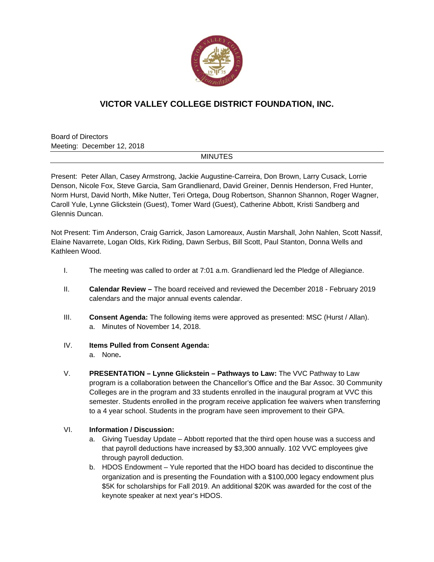

# **VICTOR VALLEY COLLEGE DISTRICT FOUNDATION, INC.**

Board of Directors Meeting: December 12, 2018

#### MINUTES

Present: Peter Allan, Casey Armstrong, Jackie Augustine-Carreira, Don Brown, Larry Cusack, Lorrie Denson, Nicole Fox, Steve Garcia, Sam Grandlienard, David Greiner, Dennis Henderson, Fred Hunter, Norm Hurst, David North, Mike Nutter, Teri Ortega, Doug Robertson, Shannon Shannon, Roger Wagner, Caroll Yule, Lynne Glickstein (Guest), Tomer Ward (Guest), Catherine Abbott, Kristi Sandberg and Glennis Duncan.

Not Present: Tim Anderson, Craig Garrick, Jason Lamoreaux, Austin Marshall, John Nahlen, Scott Nassif, Elaine Navarrete, Logan Olds, Kirk Riding, Dawn Serbus, Bill Scott, Paul Stanton, Donna Wells and Kathleen Wood.

- I. The meeting was called to order at 7:01 a.m. Grandlienard led the Pledge of Allegiance.
- II. **Calendar Review** The board received and reviewed the December 2018 February 2019 calendars and the major annual events calendar.
- III. **Consent Agenda:** The following items were approved as presented: MSC (Hurst / Allan). a. Minutes of November 14, 2018.

#### IV. **Items Pulled from Consent Agenda:**

a. None**.**

V. **PRESENTATION – Lynne Glickstein – Pathways to Law:** The VVC Pathway to Law program is a collaboration between the Chancellor's Office and the Bar Assoc. 30 Community Colleges are in the program and 33 students enrolled in the inaugural program at VVC this semester. Students enrolled in the program receive application fee waivers when transferring to a 4 year school. Students in the program have seen improvement to their GPA.

### VI. **Information / Discussion:**

- a. Giving Tuesday Update Abbott reported that the third open house was a success and that payroll deductions have increased by \$3,300 annually. 102 VVC employees give through payroll deduction.
- b. HDOS Endowment Yule reported that the HDO board has decided to discontinue the organization and is presenting the Foundation with a \$100,000 legacy endowment plus \$5K for scholarships for Fall 2019. An additional \$20K was awarded for the cost of the keynote speaker at next year's HDOS.